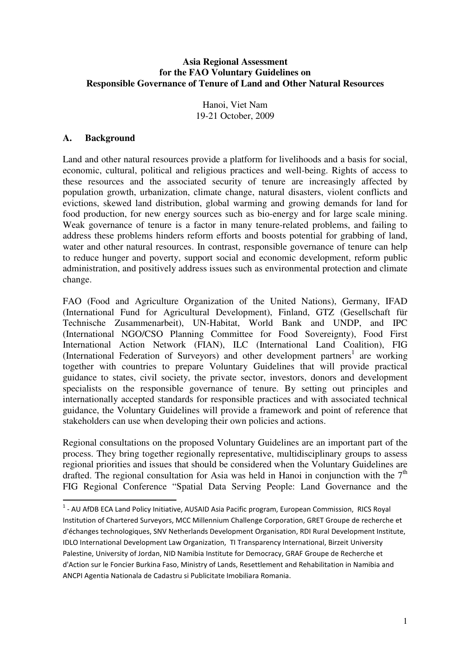#### **Asia Regional Assessment for the FAO Voluntary Guidelines on Responsible Governance of Tenure of Land and Other Natural Resources**

Hanoi, Viet Nam 19-21 October, 2009

#### **A. Background**

l

Land and other natural resources provide a platform for livelihoods and a basis for social, economic, cultural, political and religious practices and well-being. Rights of access to these resources and the associated security of tenure are increasingly affected by population growth, urbanization, climate change, natural disasters, violent conflicts and evictions, skewed land distribution, global warming and growing demands for land for food production, for new energy sources such as bio-energy and for large scale mining. Weak governance of tenure is a factor in many tenure-related problems, and failing to address these problems hinders reform efforts and boosts potential for grabbing of land, water and other natural resources. In contrast, responsible governance of tenure can help to reduce hunger and poverty, support social and economic development, reform public administration, and positively address issues such as environmental protection and climate change.

FAO (Food and Agriculture Organization of the United Nations), Germany, IFAD (International Fund for Agricultural Development), Finland, GTZ (Gesellschaft für Technische Zusammenarbeit), UN-Habitat, World Bank and UNDP, and IPC (International NGO/CSO Planning Committee for Food Sovereignty), Food First International Action Network (FIAN), ILC (International Land Coalition), FIG (International Federation of Surveyors) and other development partners<sup>1</sup> are working together with countries to prepare Voluntary Guidelines that will provide practical guidance to states, civil society, the private sector, investors, donors and development specialists on the responsible governance of tenure. By setting out principles and internationally accepted standards for responsible practices and with associated technical guidance, the Voluntary Guidelines will provide a framework and point of reference that stakeholders can use when developing their own policies and actions.

Regional consultations on the proposed Voluntary Guidelines are an important part of the process. They bring together regionally representative, multidisciplinary groups to assess regional priorities and issues that should be considered when the Voluntary Guidelines are drafted. The regional consultation for Asia was held in Hanoi in conjunction with the  $7<sup>th</sup>$ FIG Regional Conference "Spatial Data Serving People: Land Governance and the

<sup>&</sup>lt;sup>1</sup> - AU AfDB ECA Land Policy Initiative, AUSAID Asia Pacific program, European Commission, RICS Royal Institution of Chartered Surveyors, MCC Millennium Challenge Corporation, GRET Groupe de recherche et d'échanges technologiques, SNV Netherlands Development Organisation, RDI Rural Development Institute, IDLO International Development Law Organization, TI Transparency International, Birzeit University Palestine, University of Jordan, NID Namibia Institute for Democracy, GRAF Groupe de Recherche et d'Action sur le Foncier Burkina Faso, Ministry of Lands, Resettlement and Rehabilitation in Namibia and ANCPI Agentia Nationala de Cadastru si Publicitate Imobiliara Romania.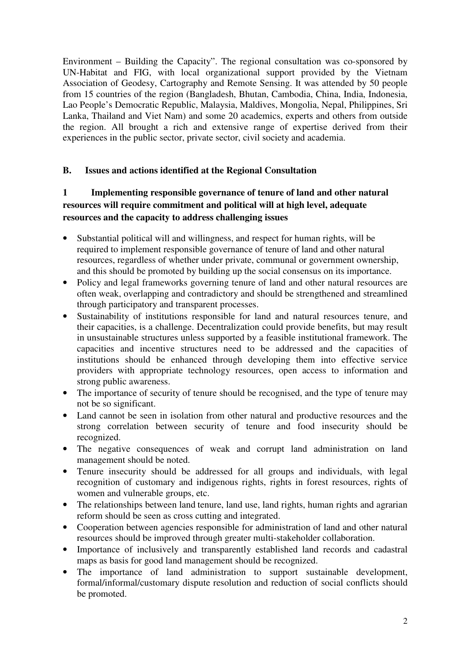Environment – Building the Capacity". The regional consultation was co-sponsored by UN-Habitat and FIG, with local organizational support provided by the Vietnam Association of Geodesy, Cartography and Remote Sensing. It was attended by 50 people from 15 countries of the region (Bangladesh, Bhutan, Cambodia, China, India, Indonesia, Lao People's Democratic Republic, Malaysia, Maldives, Mongolia, Nepal, Philippines, Sri Lanka, Thailand and Viet Nam) and some 20 academics, experts and others from outside the region. All brought a rich and extensive range of expertise derived from their experiences in the public sector, private sector, civil society and academia.

#### **B. Issues and actions identified at the Regional Consultation**

# **1 Implementing responsible governance of tenure of land and other natural resources will require commitment and political will at high level, adequate resources and the capacity to address challenging issues**

- Substantial political will and willingness, and respect for human rights, will be required to implement responsible governance of tenure of land and other natural resources, regardless of whether under private, communal or government ownership, and this should be promoted by building up the social consensus on its importance.
- Policy and legal frameworks governing tenure of land and other natural resources are often weak, overlapping and contradictory and should be strengthened and streamlined through participatory and transparent processes.
- Sustainability of institutions responsible for land and natural resources tenure, and their capacities, is a challenge. Decentralization could provide benefits, but may result in unsustainable structures unless supported by a feasible institutional framework. The capacities and incentive structures need to be addressed and the capacities of institutions should be enhanced through developing them into effective service providers with appropriate technology resources, open access to information and strong public awareness.
- The importance of security of tenure should be recognised, and the type of tenure may not be so significant.
- Land cannot be seen in isolation from other natural and productive resources and the strong correlation between security of tenure and food insecurity should be recognized.
- The negative consequences of weak and corrupt land administration on land management should be noted.
- Tenure insecurity should be addressed for all groups and individuals, with legal recognition of customary and indigenous rights, rights in forest resources, rights of women and vulnerable groups, etc.
- The relationships between land tenure, land use, land rights, human rights and agrarian reform should be seen as cross cutting and integrated.
- Cooperation between agencies responsible for administration of land and other natural resources should be improved through greater multi-stakeholder collaboration.
- Importance of inclusively and transparently established land records and cadastral maps as basis for good land management should be recognized.
- The importance of land administration to support sustainable development, formal/informal/customary dispute resolution and reduction of social conflicts should be promoted.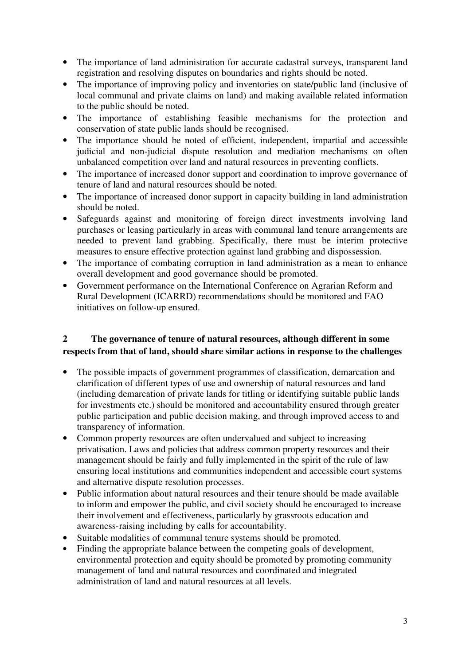- The importance of land administration for accurate cadastral surveys, transparent land registration and resolving disputes on boundaries and rights should be noted.
- The importance of improving policy and inventories on state/public land (inclusive of local communal and private claims on land) and making available related information to the public should be noted.
- The importance of establishing feasible mechanisms for the protection and conservation of state public lands should be recognised.
- The importance should be noted of efficient, independent, impartial and accessible judicial and non-judicial dispute resolution and mediation mechanisms on often unbalanced competition over land and natural resources in preventing conflicts.
- The importance of increased donor support and coordination to improve governance of tenure of land and natural resources should be noted.
- The importance of increased donor support in capacity building in land administration should be noted.
- Safeguards against and monitoring of foreign direct investments involving land purchases or leasing particularly in areas with communal land tenure arrangements are needed to prevent land grabbing. Specifically, there must be interim protective measures to ensure effective protection against land grabbing and dispossession.
- The importance of combating corruption in land administration as a mean to enhance overall development and good governance should be promoted.
- Government performance on the International Conference on Agrarian Reform and Rural Development (ICARRD) recommendations should be monitored and FAO initiatives on follow-up ensured.

### **2 The governance of tenure of natural resources, although different in some respects from that of land, should share similar actions in response to the challenges**

- The possible impacts of government programmes of classification, demarcation and clarification of different types of use and ownership of natural resources and land (including demarcation of private lands for titling or identifying suitable public lands for investments etc.) should be monitored and accountability ensured through greater public participation and public decision making, and through improved access to and transparency of information.
- Common property resources are often undervalued and subject to increasing privatisation. Laws and policies that address common property resources and their management should be fairly and fully implemented in the spirit of the rule of law ensuring local institutions and communities independent and accessible court systems and alternative dispute resolution processes.
- Public information about natural resources and their tenure should be made available to inform and empower the public, and civil society should be encouraged to increase their involvement and effectiveness, particularly by grassroots education and awareness-raising including by calls for accountability.
- Suitable modalities of communal tenure systems should be promoted.
- Finding the appropriate balance between the competing goals of development, environmental protection and equity should be promoted by promoting community management of land and natural resources and coordinated and integrated administration of land and natural resources at all levels.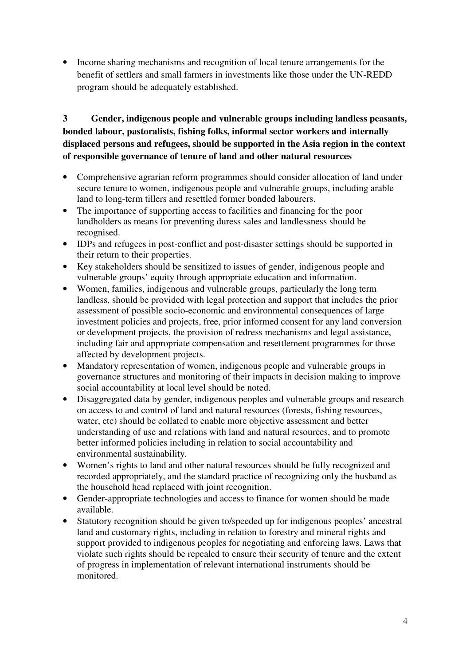• Income sharing mechanisms and recognition of local tenure arrangements for the benefit of settlers and small farmers in investments like those under the UN-REDD program should be adequately established.

# **3 Gender, indigenous people and vulnerable groups including landless peasants, bonded labour, pastoralists, fishing folks, informal sector workers and internally displaced persons and refugees, should be supported in the Asia region in the context of responsible governance of tenure of land and other natural resources**

- Comprehensive agrarian reform programmes should consider allocation of land under secure tenure to women, indigenous people and vulnerable groups, including arable land to long-term tillers and resettled former bonded labourers.
- The importance of supporting access to facilities and financing for the poor landholders as means for preventing duress sales and landlessness should be recognised.
- IDPs and refugees in post-conflict and post-disaster settings should be supported in their return to their properties.
- Key stakeholders should be sensitized to issues of gender, indigenous people and vulnerable groups' equity through appropriate education and information.
- Women, families, indigenous and vulnerable groups, particularly the long term landless, should be provided with legal protection and support that includes the prior assessment of possible socio-economic and environmental consequences of large investment policies and projects, free, prior informed consent for any land conversion or development projects, the provision of redress mechanisms and legal assistance, including fair and appropriate compensation and resettlement programmes for those affected by development projects.
- Mandatory representation of women, indigenous people and vulnerable groups in governance structures and monitoring of their impacts in decision making to improve social accountability at local level should be noted.
- Disaggregated data by gender, indigenous peoples and vulnerable groups and research on access to and control of land and natural resources (forests, fishing resources, water, etc) should be collated to enable more objective assessment and better understanding of use and relations with land and natural resources, and to promote better informed policies including in relation to social accountability and environmental sustainability.
- Women's rights to land and other natural resources should be fully recognized and recorded appropriately, and the standard practice of recognizing only the husband as the household head replaced with joint recognition.
- Gender-appropriate technologies and access to finance for women should be made available.
- Statutory recognition should be given to/speeded up for indigenous peoples' ancestral land and customary rights, including in relation to forestry and mineral rights and support provided to indigenous peoples for negotiating and enforcing laws. Laws that violate such rights should be repealed to ensure their security of tenure and the extent of progress in implementation of relevant international instruments should be monitored.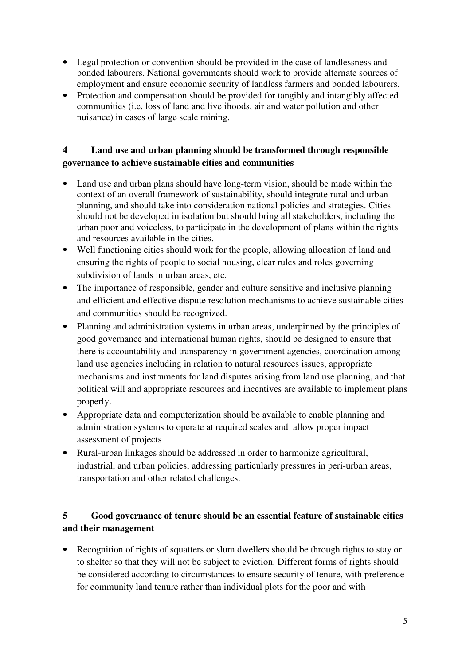- Legal protection or convention should be provided in the case of landlessness and bonded labourers. National governments should work to provide alternate sources of employment and ensure economic security of landless farmers and bonded labourers.
- Protection and compensation should be provided for tangibly and intangibly affected communities (i.e. loss of land and livelihoods, air and water pollution and other nuisance) in cases of large scale mining.

### **4 Land use and urban planning should be transformed through responsible governance to achieve sustainable cities and communities**

- Land use and urban plans should have long-term vision, should be made within the context of an overall framework of sustainability, should integrate rural and urban planning, and should take into consideration national policies and strategies. Cities should not be developed in isolation but should bring all stakeholders, including the urban poor and voiceless, to participate in the development of plans within the rights and resources available in the cities.
- Well functioning cities should work for the people, allowing allocation of land and ensuring the rights of people to social housing, clear rules and roles governing subdivision of lands in urban areas, etc.
- The importance of responsible, gender and culture sensitive and inclusive planning and efficient and effective dispute resolution mechanisms to achieve sustainable cities and communities should be recognized.
- Planning and administration systems in urban areas, underpinned by the principles of good governance and international human rights, should be designed to ensure that there is accountability and transparency in government agencies, coordination among land use agencies including in relation to natural resources issues, appropriate mechanisms and instruments for land disputes arising from land use planning, and that political will and appropriate resources and incentives are available to implement plans properly.
- Appropriate data and computerization should be available to enable planning and administration systems to operate at required scales and allow proper impact assessment of projects
- Rural-urban linkages should be addressed in order to harmonize agricultural, industrial, and urban policies, addressing particularly pressures in peri-urban areas, transportation and other related challenges.

# **5 Good governance of tenure should be an essential feature of sustainable cities and their management**

• Recognition of rights of squatters or slum dwellers should be through rights to stay or to shelter so that they will not be subject to eviction. Different forms of rights should be considered according to circumstances to ensure security of tenure, with preference for community land tenure rather than individual plots for the poor and with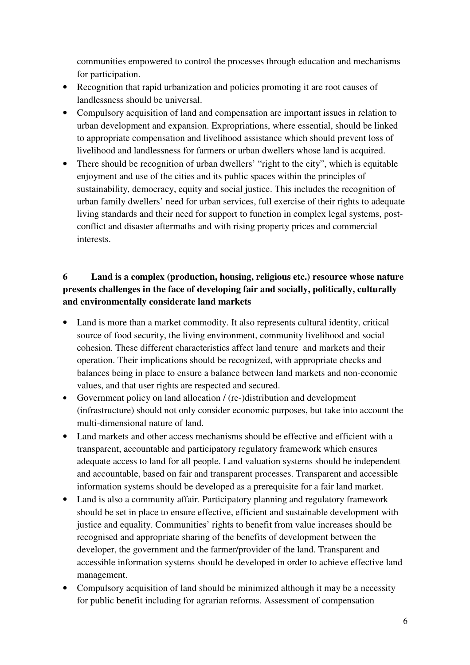communities empowered to control the processes through education and mechanisms for participation.

- Recognition that rapid urbanization and policies promoting it are root causes of landlessness should be universal.
- Compulsory acquisition of land and compensation are important issues in relation to urban development and expansion. Expropriations, where essential, should be linked to appropriate compensation and livelihood assistance which should prevent loss of livelihood and landlessness for farmers or urban dwellers whose land is acquired.
- There should be recognition of urban dwellers' "right to the city", which is equitable enjoyment and use of the cities and its public spaces within the principles of sustainability, democracy, equity and social justice. This includes the recognition of urban family dwellers' need for urban services, full exercise of their rights to adequate living standards and their need for support to function in complex legal systems, postconflict and disaster aftermaths and with rising property prices and commercial interests.

# **6 Land is a complex (production, housing, religious etc.) resource whose nature presents challenges in the face of developing fair and socially, politically, culturally and environmentally considerate land markets**

- Land is more than a market commodity. It also represents cultural identity, critical source of food security, the living environment, community livelihood and social cohesion. These different characteristics affect land tenure and markets and their operation. Their implications should be recognized, with appropriate checks and balances being in place to ensure a balance between land markets and non-economic values, and that user rights are respected and secured.
- Government policy on land allocation / (re-)distribution and development (infrastructure) should not only consider economic purposes, but take into account the multi-dimensional nature of land.
- Land markets and other access mechanisms should be effective and efficient with a transparent, accountable and participatory regulatory framework which ensures adequate access to land for all people. Land valuation systems should be independent and accountable, based on fair and transparent processes. Transparent and accessible information systems should be developed as a prerequisite for a fair land market.
- Land is also a community affair. Participatory planning and regulatory framework should be set in place to ensure effective, efficient and sustainable development with justice and equality. Communities' rights to benefit from value increases should be recognised and appropriate sharing of the benefits of development between the developer, the government and the farmer/provider of the land. Transparent and accessible information systems should be developed in order to achieve effective land management.
- Compulsory acquisition of land should be minimized although it may be a necessity for public benefit including for agrarian reforms. Assessment of compensation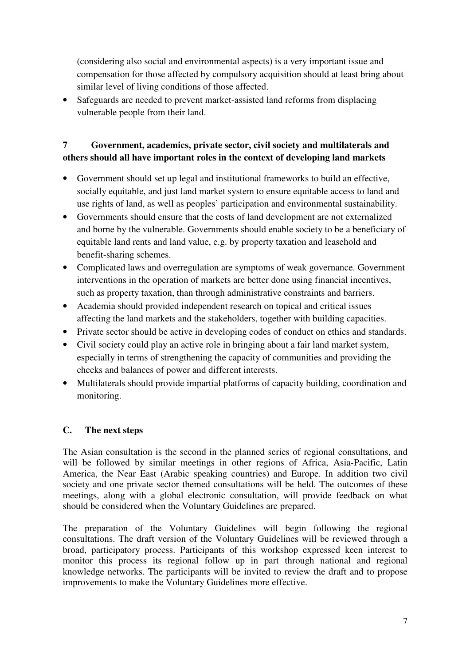(considering also social and environmental aspects) is a very important issue and compensation for those affected by compulsory acquisition should at least bring about similar level of living conditions of those affected.

• Safeguards are needed to prevent market-assisted land reforms from displacing vulnerable people from their land.

# **7 Government, academics, private sector, civil society and multilaterals and others should all have important roles in the context of developing land markets**

- Government should set up legal and institutional frameworks to build an effective, socially equitable, and just land market system to ensure equitable access to land and use rights of land, as well as peoples' participation and environmental sustainability.
- Governments should ensure that the costs of land development are not externalized and borne by the vulnerable. Governments should enable society to be a beneficiary of equitable land rents and land value, e.g. by property taxation and leasehold and benefit-sharing schemes.
- Complicated laws and overregulation are symptoms of weak governance. Government interventions in the operation of markets are better done using financial incentives, such as property taxation, than through administrative constraints and barriers.
- Academia should provided independent research on topical and critical issues affecting the land markets and the stakeholders, together with building capacities.
- Private sector should be active in developing codes of conduct on ethics and standards.
- Civil society could play an active role in bringing about a fair land market system, especially in terms of strengthening the capacity of communities and providing the checks and balances of power and different interests.
- Multilaterals should provide impartial platforms of capacity building, coordination and monitoring.

### **C. The next steps**

The Asian consultation is the second in the planned series of regional consultations, and will be followed by similar meetings in other regions of Africa, Asia-Pacific, Latin America, the Near East (Arabic speaking countries) and Europe. In addition two civil society and one private sector themed consultations will be held. The outcomes of these meetings, along with a global electronic consultation, will provide feedback on what should be considered when the Voluntary Guidelines are prepared.

The preparation of the Voluntary Guidelines will begin following the regional consultations. The draft version of the Voluntary Guidelines will be reviewed through a broad, participatory process. Participants of this workshop expressed keen interest to monitor this process its regional follow up in part through national and regional knowledge networks. The participants will be invited to review the draft and to propose improvements to make the Voluntary Guidelines more effective.